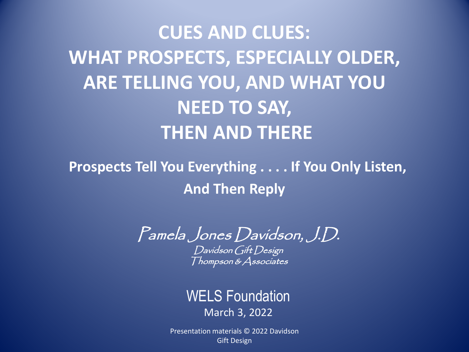**CUES AND CLUES: WHAT PROSPECTS, ESPECIALLY OLDER, ARE TELLING YOU, AND WHAT YOU NEED TO SAY, THEN AND THERE**

**Prospects Tell You Everything . . . . If You Only Listen, And Then Reply**

Pamela Jones Davidson, J.D. Davidson Gift Design

Thompson & Associates

## WELS Foundation March 3, 2022

Presentation materials © 2022 Davidson **Gift Design**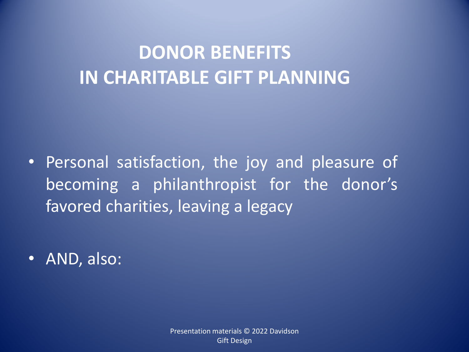## **DONOR BENEFITS IN CHARITABLE GIFT PLANNING**

- Personal satisfaction, the joy and pleasure of becoming a philanthropist for the donor's favored charities, leaving a legacy
- AND, also: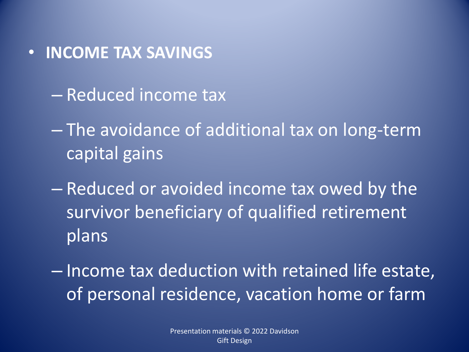- **INCOME TAX SAVINGS**
	- Reduced income tax
	- The avoidance of additional tax on long-term capital gains
	- Reduced or avoided income tax owed by the survivor beneficiary of qualified retirement plans
	- Income tax deduction with retained life estate, of personal residence, vacation home or farm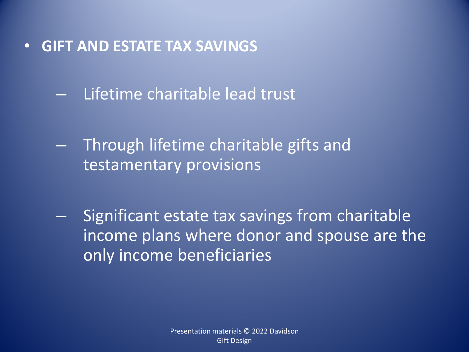- **GIFT AND ESTATE TAX SAVINGS**
	- Lifetime charitable lead trust
	- Through lifetime charitable gifts and testamentary provisions
	- Significant estate tax savings from charitable income plans where donor and spouse are the only income beneficiaries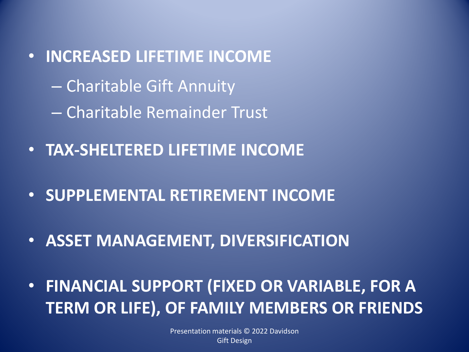- **INCREASED LIFETIME INCOME** – Charitable Gift Annuity – Charitable Remainder Trust
- **TAX-SHELTERED LIFETIME INCOME**
- **SUPPLEMENTAL RETIREMENT INCOME**
- **ASSET MANAGEMENT, DIVERSIFICATION**
- **FINANCIAL SUPPORT (FIXED OR VARIABLE, FOR A TERM OR LIFE), OF FAMILY MEMBERS OR FRIENDS**

Presentation materials © 2022 Davidson Gift Design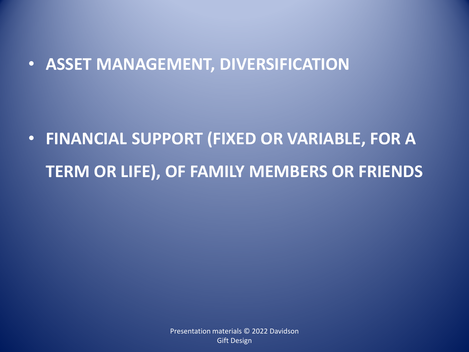## • **ASSET MANAGEMENT, DIVERSIFICATION**

• **FINANCIAL SUPPORT (FIXED OR VARIABLE, FOR A TERM OR LIFE), OF FAMILY MEMBERS OR FRIENDS**

> Presentation materials © 2022 Davidson Gift Design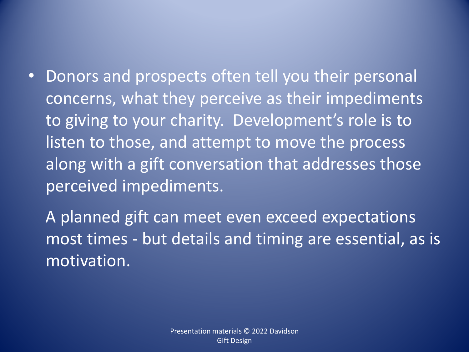• Donors and prospects often tell you their personal concerns, what they perceive as their impediments to giving to your charity. Development's role is to listen to those, and attempt to move the process along with a gift conversation that addresses those perceived impediments.

A planned gift can meet even exceed expectations most times - but details and timing are essential, as is motivation.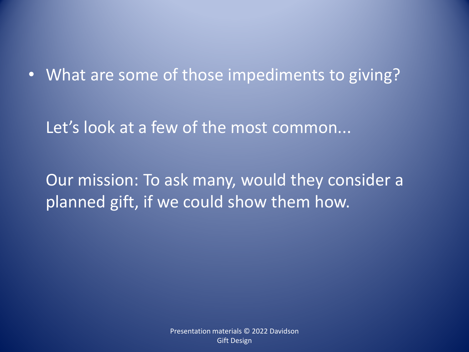• What are some of those impediments to giving?

Let's look at a few of the most common...

Our mission: To ask many, would they consider a planned gift, if we could show them how.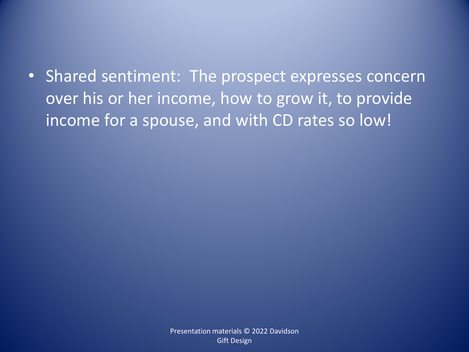• Shared sentiment: The prospect expresses concern over his or her income, how to grow it, to provide income for a spouse, and with CD rates so low!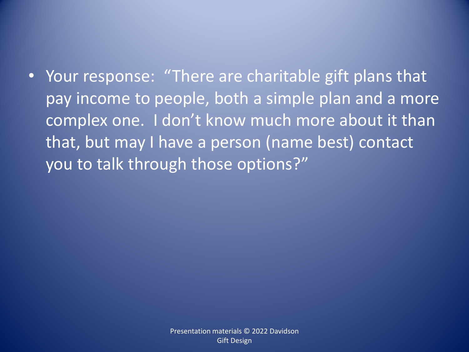• Your response: "There are charitable gift plans that pay income to people, both a simple plan and a more complex one. I don't know much more about it than that, but may I have a person (name best) contact you to talk through those options?"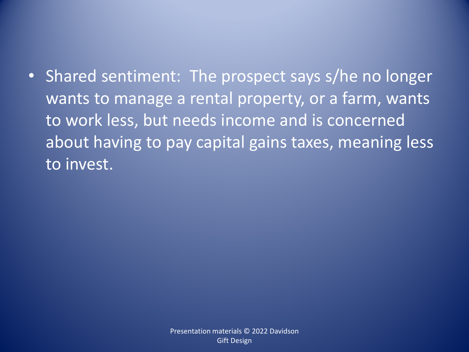• Shared sentiment: The prospect says s/he no longer wants to manage a rental property, or a farm, wants to work less, but needs income and is concerned about having to pay capital gains taxes, meaning less to invest.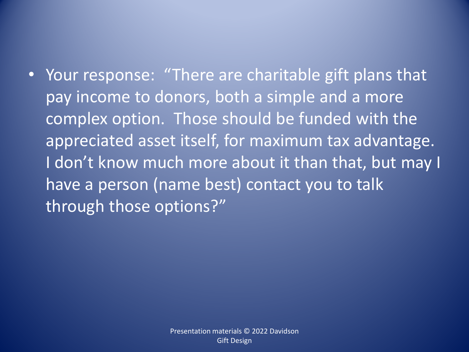• Your response: "There are charitable gift plans that pay income to donors, both a simple and a more complex option. Those should be funded with the appreciated asset itself, for maximum tax advantage. I don't know much more about it than that, but may I have a person (name best) contact you to talk through those options?"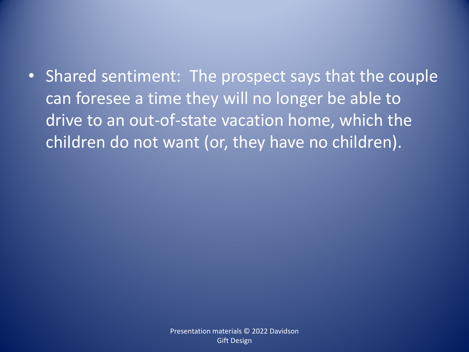• Shared sentiment: The prospect says that the couple can foresee a time they will no longer be able to drive to an out-of-state vacation home, which the children do not want (or, they have no children).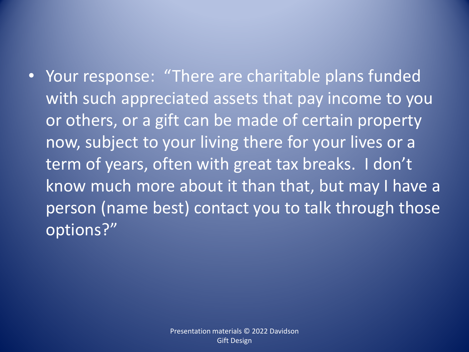• Your response: "There are charitable plans funded with such appreciated assets that pay income to you or others, or a gift can be made of certain property now, subject to your living there for your lives or a term of years, often with great tax breaks. I don't know much more about it than that, but may I have a person (name best) contact you to talk through those options?"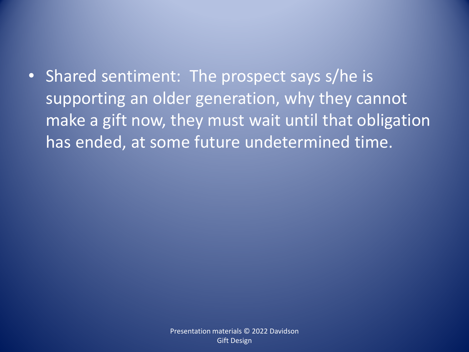• Shared sentiment: The prospect says s/he is supporting an older generation, why they cannot make a gift now, they must wait until that obligation has ended, at some future undetermined time.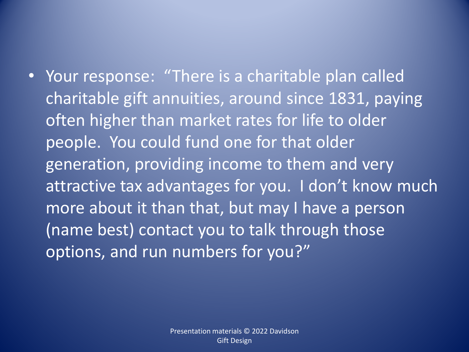• Your response: "There is a charitable plan called charitable gift annuities, around since 1831, paying often higher than market rates for life to older people. You could fund one for that older generation, providing income to them and very attractive tax advantages for you. I don't know much more about it than that, but may I have a person (name best) contact you to talk through those options, and run numbers for you?"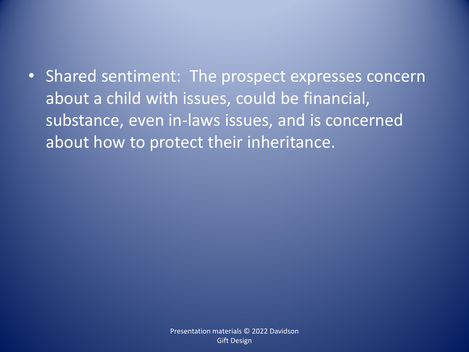• Shared sentiment: The prospect expresses concern about a child with issues, could be financial, substance, even in-laws issues, and is concerned about how to protect their inheritance.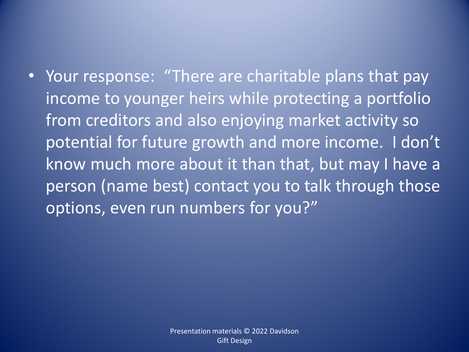• Your response: "There are charitable plans that pay income to younger heirs while protecting a portfolio from creditors and also enjoying market activity so potential for future growth and more income. I don't know much more about it than that, but may I have a person (name best) contact you to talk through those options, even run numbers for you?"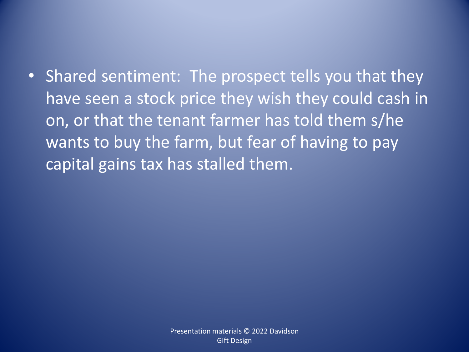• Shared sentiment: The prospect tells you that they have seen a stock price they wish they could cash in on, or that the tenant farmer has told them s/he wants to buy the farm, but fear of having to pay capital gains tax has stalled them.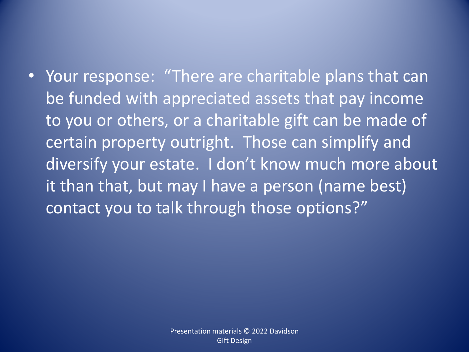• Your response: "There are charitable plans that can be funded with appreciated assets that pay income to you or others, or a charitable gift can be made of certain property outright. Those can simplify and diversify your estate. I don't know much more about it than that, but may I have a person (name best) contact you to talk through those options?"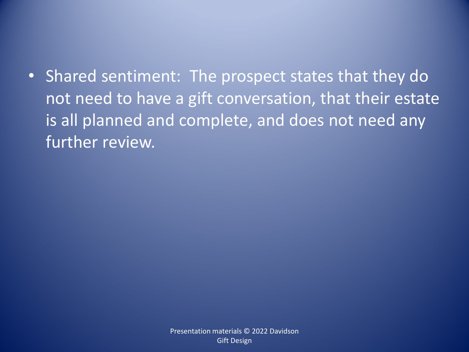• Shared sentiment: The prospect states that they do not need to have a gift conversation, that their estate is all planned and complete, and does not need any further review.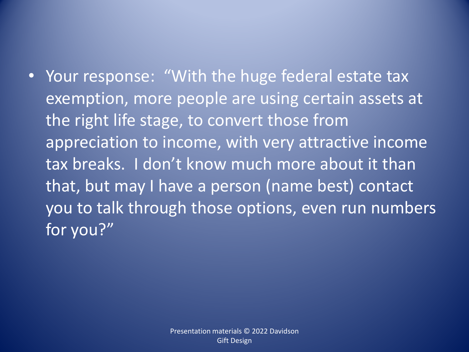• Your response: "With the huge federal estate tax exemption, more people are using certain assets at the right life stage, to convert those from appreciation to income, with very attractive income tax breaks. I don't know much more about it than that, but may I have a person (name best) contact you to talk through those options, even run numbers for you?"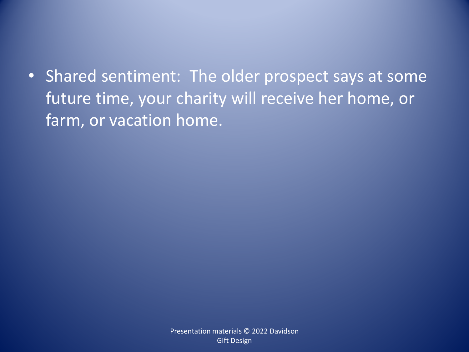• Shared sentiment: The older prospect says at some future time, your charity will receive her home, or farm, or vacation home.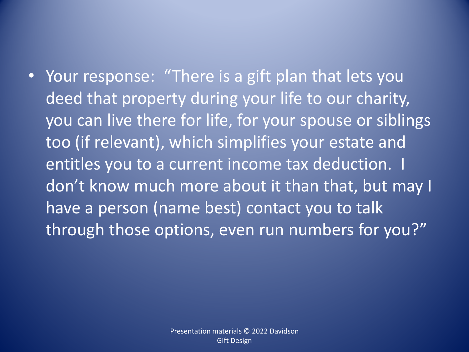• Your response: "There is a gift plan that lets you deed that property during your life to our charity, you can live there for life, for your spouse or siblings too (if relevant), which simplifies your estate and entitles you to a current income tax deduction. I don't know much more about it than that, but may I have a person (name best) contact you to talk through those options, even run numbers for you?"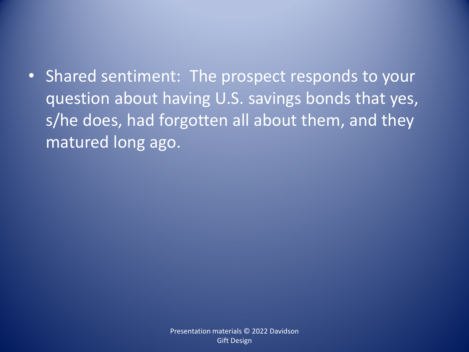• Shared sentiment: The prospect responds to your question about having U.S. savings bonds that yes, s/he does, had forgotten all about them, and they matured long ago.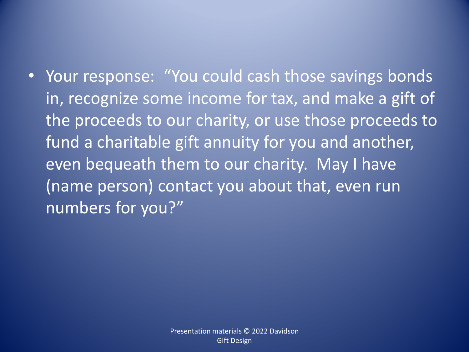• Your response: "You could cash those savings bonds in, recognize some income for tax, and make a gift of the proceeds to our charity, or use those proceeds to fund a charitable gift annuity for you and another, even bequeath them to our charity. May I have (name person) contact you about that, even run numbers for you?"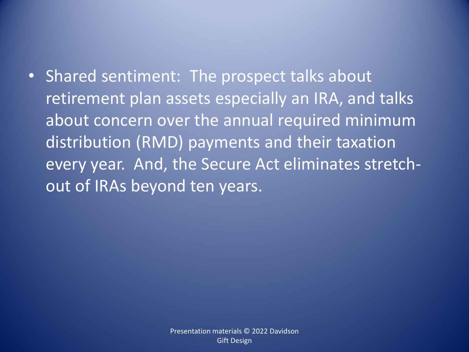• Shared sentiment: The prospect talks about retirement plan assets especially an IRA, and talks about concern over the annual required minimum distribution (RMD) payments and their taxation every year. And, the Secure Act eliminates stretchout of IRAs beyond ten years.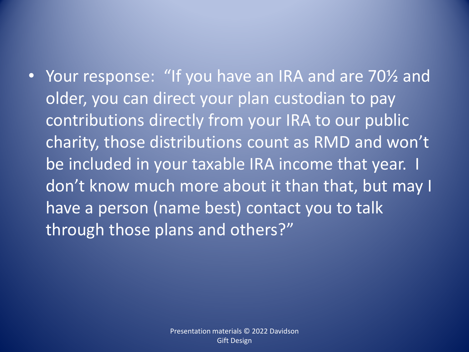• Your response: "If you have an IRA and are 70½ and older, you can direct your plan custodian to pay contributions directly from your IRA to our public charity, those distributions count as RMD and won't be included in your taxable IRA income that year. I don't know much more about it than that, but may I have a person (name best) contact you to talk through those plans and others?"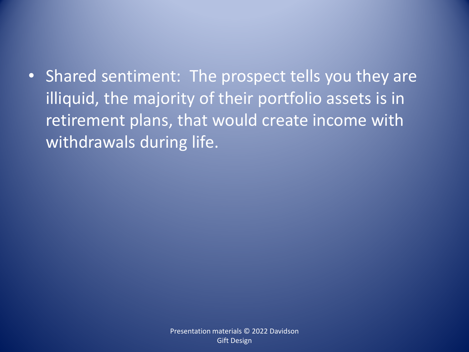• Shared sentiment: The prospect tells you they are illiquid, the majority of their portfolio assets is in retirement plans, that would create income with withdrawals during life.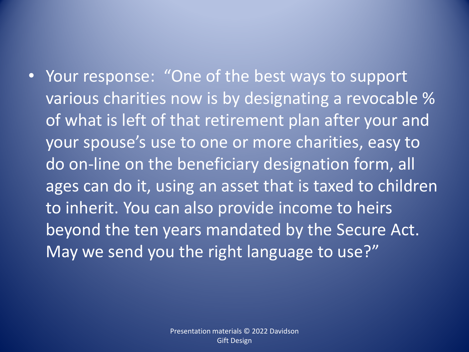• Your response: "One of the best ways to support various charities now is by designating a revocable % of what is left of that retirement plan after your and your spouse's use to one or more charities, easy to do on-line on the beneficiary designation form, all ages can do it, using an asset that is taxed to children to inherit. You can also provide income to heirs beyond the ten years mandated by the Secure Act. May we send you the right language to use?"